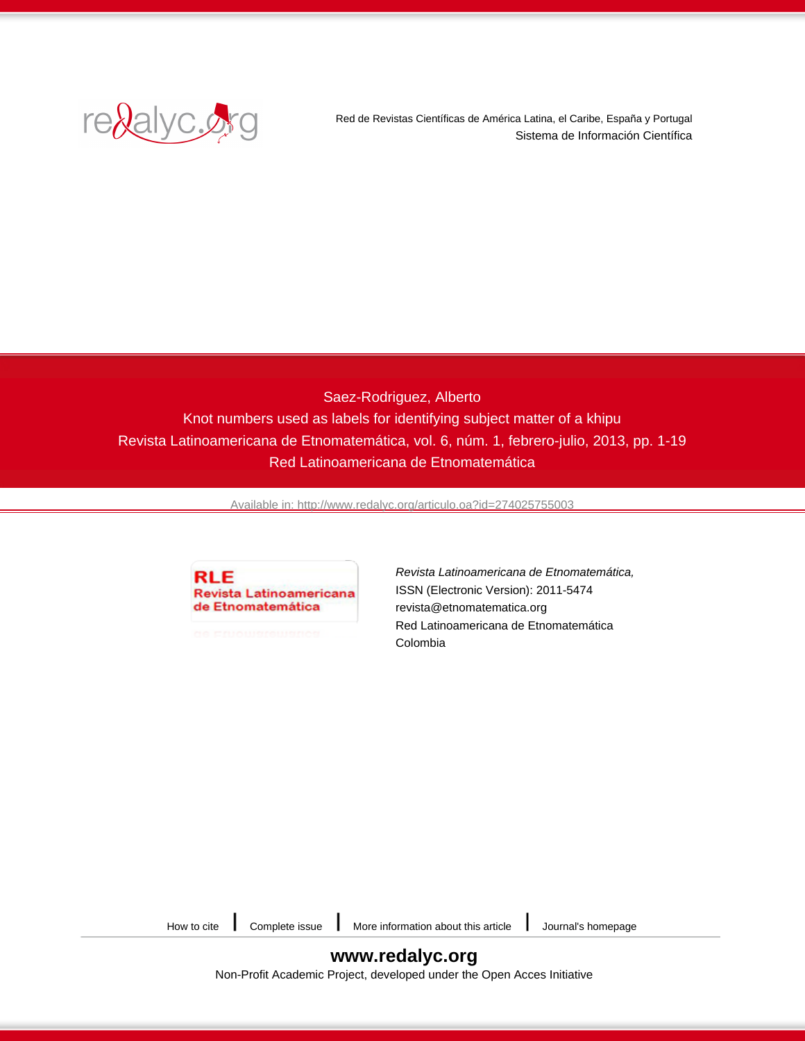

Red de Revistas Científicas de América Latina, el Caribe, España y Portugal Sistema de Información Científica

# Saez-Rodriguez, Alberto Knot numbers used as labels for identifying subject matter of a khipu Revista Latinoamericana de Etnomatemática, vol. 6, núm. 1, febrero-julio, 2013, pp. 1-19 Red Latinoamericana de Etnomatemática

[Available in: http://www.redalyc.org/articulo.oa?id=274025755003](http://www.redalyc.org/articulo.oa?id=274025755003)



[Revista Latinoamericana de Etnomatemática,](http://www.redalyc.org/revista.oa?id=2740) ISSN (Electronic Version): 2011-5474 revista@etnomatematica.org Red Latinoamericana de Etnomatemática Colombia

[How to cite](http://www.redalyc.org/comocitar.oa?id=274025755003)  $\Box$  [Complete issue](http://www.redalyc.org/fasciculo.oa?id=2740&numero=25755)  $\Box$  [More information about this article](http://www.redalyc.org/articulo.oa?id=274025755003)  $\Box$  [Journal's homepage](http://www.redalyc.org/revista.oa?id=2740)

**[www.redalyc.org](http://www.redalyc.org/revista.oa?id=2740)** Non-Profit Academic Project, developed under the Open Acces Initiative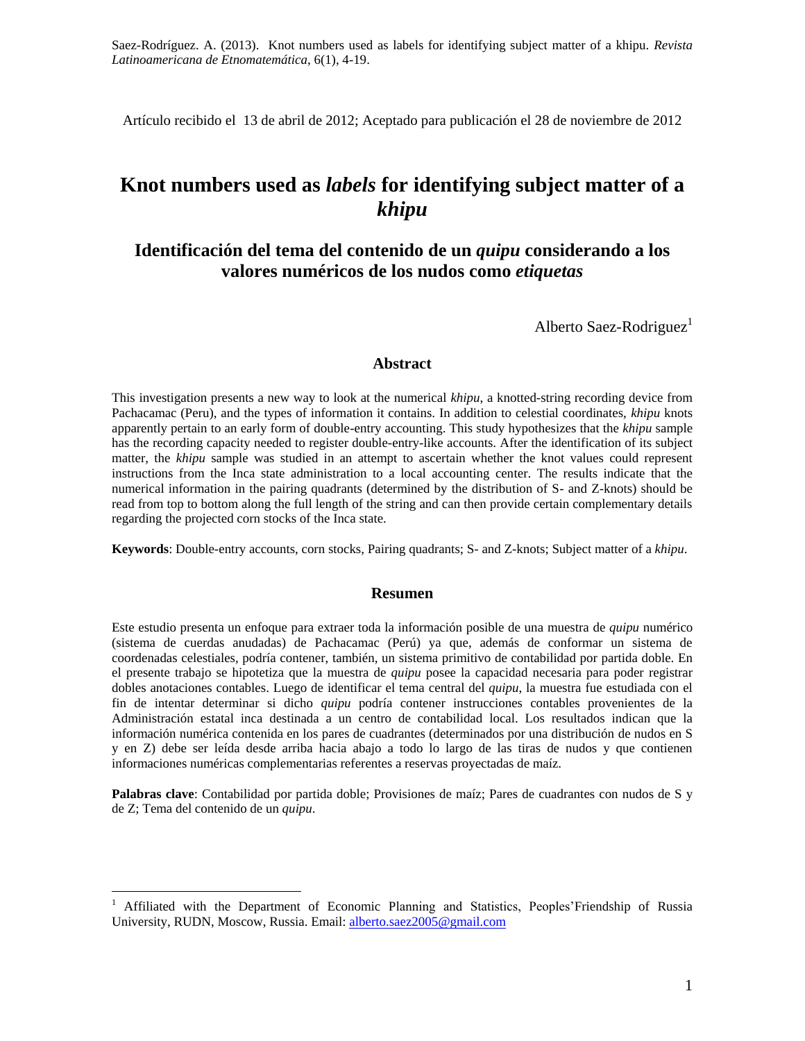Artículo recibido el 13 de abril de 2012; Aceptado para publicación el 28 de noviembre de 2012

# **Knot numbers used as** *labels* **for identifying subject matter of a**  *khipu*

# **Identificación del tema del contenido de un** *quipu* **considerando a los valores numéricos de los nudos como** *etiquetas*

Alberto Saez-Rodriguez<sup>1</sup>

#### **Abstract**

This investigation presents a new way to look at the numerical *khipu*, a knotted-string recording device from Pachacamac (Peru), and the types of information it contains. In addition to celestial coordinates, *khipu* knots apparently pertain to an early form of double-entry accounting. This study hypothesizes that the *khipu* sample has the recording capacity needed to register double-entry-like accounts. After the identification of its subject matter, the *khipu* sample was studied in an attempt to ascertain whether the knot values could represent instructions from the Inca state administration to a local accounting center. The results indicate that the numerical information in the pairing quadrants (determined by the distribution of S- and Z-knots) should be read from top to bottom along the full length of the string and can then provide certain complementary details regarding the projected corn stocks of the Inca state.

**Keywords**: Double-entry accounts, corn stocks, Pairing quadrants; S- and Z-knots; Subject matter of a *khipu*.

#### **Resumen**

Este estudio presenta un enfoque para extraer toda la información posible de una muestra de *quipu* numérico (sistema de cuerdas anudadas) de Pachacamac (Perú) ya que, además de conformar un sistema de coordenadas celestiales, podría contener, también, un sistema primitivo de contabilidad por partida doble. En el presente trabajo se hipotetiza que la muestra de *quipu* posee la capacidad necesaria para poder registrar dobles anotaciones contables. Luego de identificar el tema central del *quipu*, la muestra fue estudiada con el fin de intentar determinar si dicho *quipu* podría contener instrucciones contables provenientes de la Administración estatal inca destinada a un centro de contabilidad local. Los resultados indican que la información numérica contenida en los pares de cuadrantes (determinados por una distribución de nudos en S y en Z) debe ser leída desde arriba hacia abajo a todo lo largo de las tiras de nudos y que contienen informaciones numéricas complementarias referentes a reservas proyectadas de maíz.

**Palabras clave**: Contabilidad por partida doble; Provisiones de maíz; Pares de cuadrantes con nudos de S y de Z; Tema del contenido de un *quipu*.

<u>.</u>

<sup>&</sup>lt;sup>1</sup> Affiliated with the Department of Economic Planning and Statistics, Peoples'Friendship of Russia University, RUDN, Moscow, Russia. Email: [alberto.saez2005@gmail.com](mailto:alberto.saez2005@gmail.com)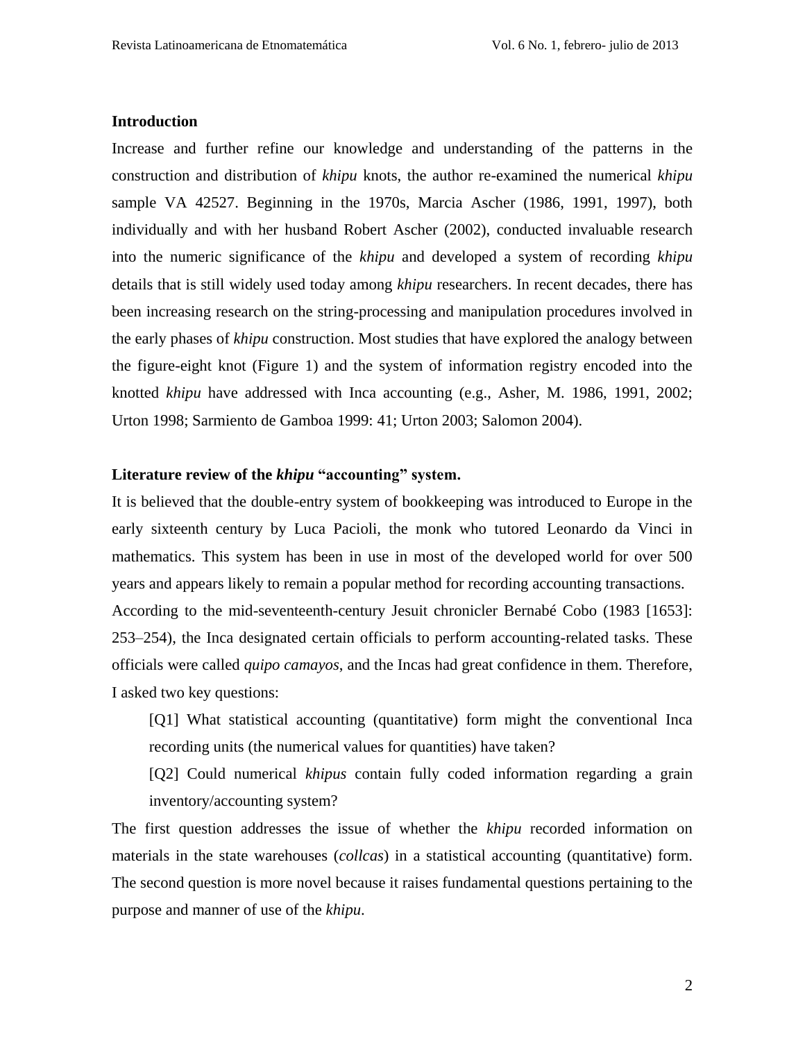#### **Introduction**

Increase and further refine our knowledge and understanding of the patterns in the construction and distribution of *khipu* knots, the author re-examined the numerical *khipu* sample VA 42527. Beginning in the 1970s, Marcia Ascher (1986, 1991, 1997), both individually and with her husband Robert Ascher (2002), conducted invaluable research into the numeric significance of the *khipu* and developed a system of recording *khipu* details that is still widely used today among *khipu* researchers. In recent decades, there has been increasing research on the string-processing and manipulation procedures involved in the early phases of *khipu* construction. Most studies that have explored the analogy between the figure-eight knot (Figure 1) and the system of information registry encoded into the knotted *khipu* have addressed with Inca accounting (e.g., Asher, M. 1986, 1991, 2002; Urton 1998; Sarmiento de Gamboa 1999: 41; Urton 2003; Salomon 2004).

## **Literature review of the** *khipu* **"accounting" system.**

It is believed that the double-entry system of bookkeeping was introduced to Europe in the early sixteenth century by Luca Pacioli, the monk who tutored Leonardo da Vinci in mathematics. This system has been in use in most of the developed world for over 500 years and appears likely to remain a popular method for recording accounting transactions. According to the mid-seventeenth-century Jesuit chronicler Bernabé Cobo (1983 [1653]: 253–254), the Inca designated certain officials to perform accounting-related tasks. These officials were called *quipo camayos*, and the Incas had great confidence in them. Therefore, I asked two key questions:

[Q1] What statistical accounting (quantitative) form might the conventional Inca recording units (the numerical values for quantities) have taken?

[Q2] Could numerical *khipus* contain fully coded information regarding a grain inventory/accounting system?

The first question addresses the issue of whether the *khipu* recorded information on materials in the state warehouses (*collcas*) in a statistical accounting (quantitative) form. The second question is more novel because it raises fundamental questions pertaining to the purpose and manner of use of the *khipu*.

2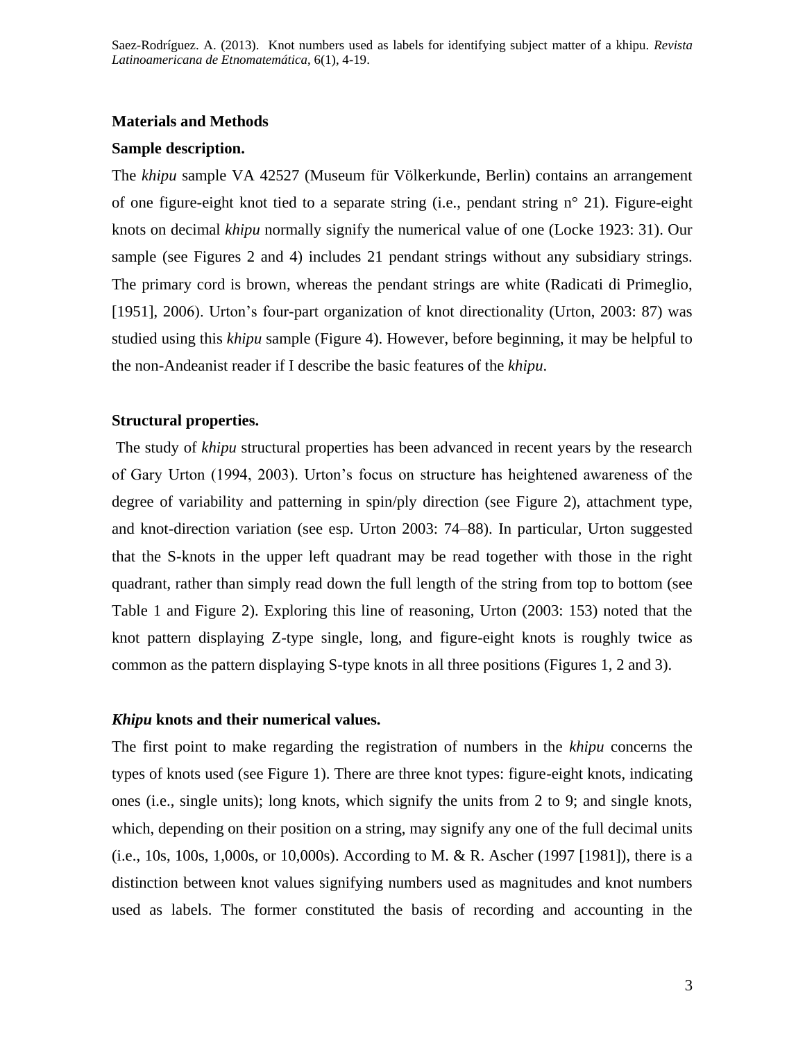#### **Materials and Methods**

#### **Sample description.**

The *khipu* sample VA 42527 (Museum für Völkerkunde, Berlin) contains an arrangement of one figure-eight knot tied to a separate string (i.e., pendant string n° 21). Figure-eight knots on decimal *khipu* normally signify the numerical value of one (Locke 1923: 31). Our sample (see Figures 2 and 4) includes 21 pendant strings without any subsidiary strings. The primary cord is brown, whereas the pendant strings are white (Radicati di Primeglio, [1951], 2006). Urton's four-part organization of knot directionality (Urton, 2003: 87) was studied using this *khipu* sample (Figure 4). However, before beginning, it may be helpful to the non-Andeanist reader if I describe the basic features of the *khipu*.

#### **Structural properties.**

The study of *khipu* structural properties has been advanced in recent years by the research of Gary Urton (1994, 2003). Urton"s focus on structure has heightened awareness of the degree of variability and patterning in spin/ply direction (see Figure 2), attachment type, and knot-direction variation (see esp. Urton 2003: 74–88). In particular, Urton suggested that the S-knots in the upper left quadrant may be read together with those in the right quadrant, rather than simply read down the full length of the string from top to bottom (see Table 1 and Figure 2). Exploring this line of reasoning, Urton (2003: 153) noted that the knot pattern displaying Z-type single, long, and figure-eight knots is roughly twice as common as the pattern displaying S-type knots in all three positions (Figures 1, 2 and 3).

#### *Khipu* **knots and their numerical values.**

The first point to make regarding the registration of numbers in the *khipu* concerns the types of knots used (see Figure 1). There are three knot types: figure-eight knots, indicating ones (i.e., single units); long knots, which signify the units from 2 to 9; and single knots, which, depending on their position on a string, may signify any one of the full decimal units (i.e., 10s, 100s, 1,000s, or 10,000s). According to M. & R. Ascher (1997 [1981]), there is a distinction between knot values signifying numbers used as magnitudes and knot numbers used as labels. The former constituted the basis of recording and accounting in the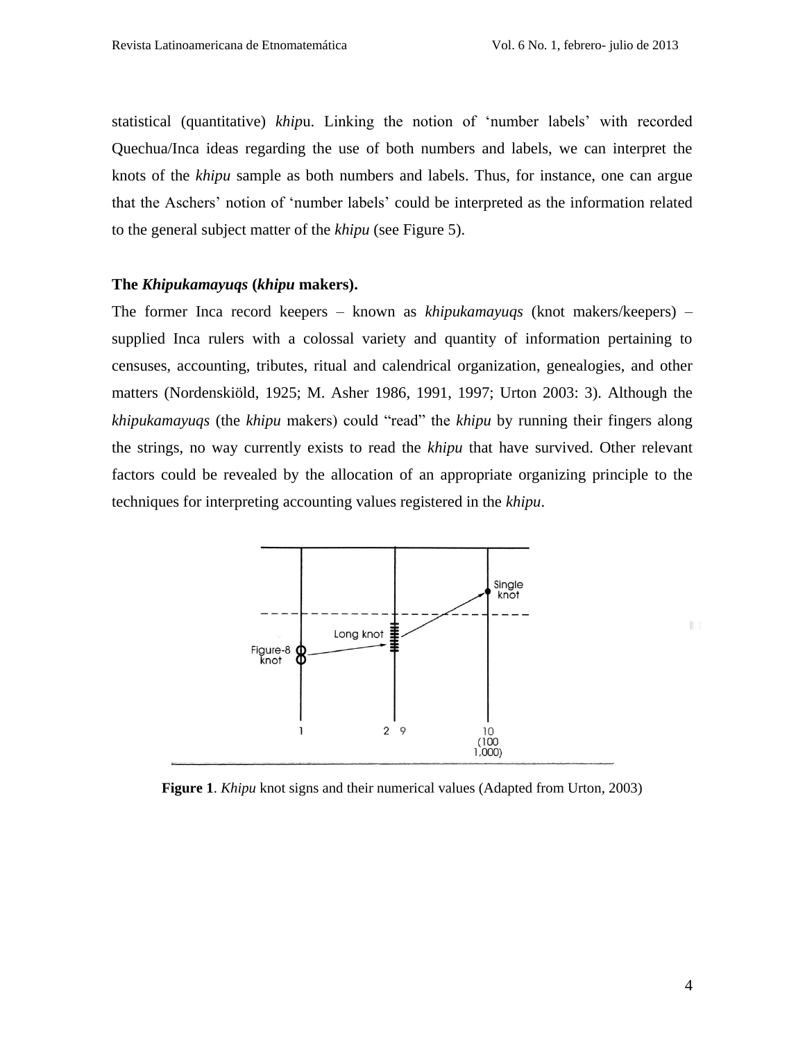statistical (quantitative) *khip*u. Linking the notion of "number labels" with recorded Quechua/Inca ideas regarding the use of both numbers and labels, we can interpret the knots of the *khipu* sample as both numbers and labels. Thus, for instance, one can argue that the Aschers" notion of "number labels" could be interpreted as the information related to the general subject matter of the *khipu* (see Figure 5).

## **The** *Khipukamayuqs* **(***khipu* **makers).**

The former Inca record keepers – known as *khipukamayuqs* (knot makers/keepers) – supplied Inca rulers with a colossal variety and quantity of information pertaining to censuses, accounting, tributes, ritual and calendrical organization, genealogies, and other matters (Nordenskiöld, 1925; M. Asher 1986, 1991, 1997; Urton 2003: 3). Although the *khipukamayuqs* (the *khipu* makers) could "read" the *khipu* by running their fingers along the strings, no way currently exists to read the *khipu* that have survived. Other relevant factors could be revealed by the allocation of an appropriate organizing principle to the techniques for interpreting accounting values registered in the *khipu*.



**Figure 1**. *Khipu* knot signs and their numerical values (Adapted from Urton, 2003)

E i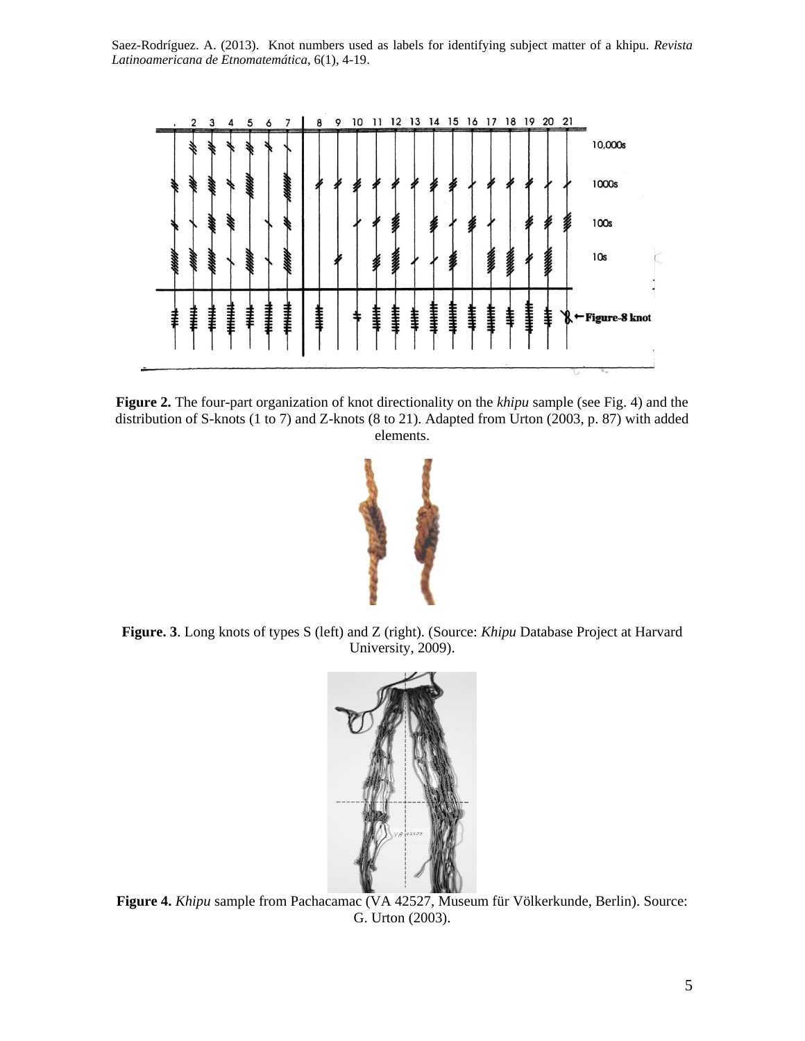

**Figure 2.** The four-part organization of knot directionality on the *khipu* sample (see Fig. 4) and the distribution of S-knots (1 to 7) and Z-knots (8 to 21). Adapted from Urton (2003, p. 87) with added elements.



**Figure. 3**. Long knots of types S (left) and Z (right). (Source: *Khipu* Database Project at Harvard University, 2009).



**Figure 4.** *Khipu* sample from Pachacamac (VA 42527, Museum für Völkerkunde, Berlin). Source: G. Urton (2003).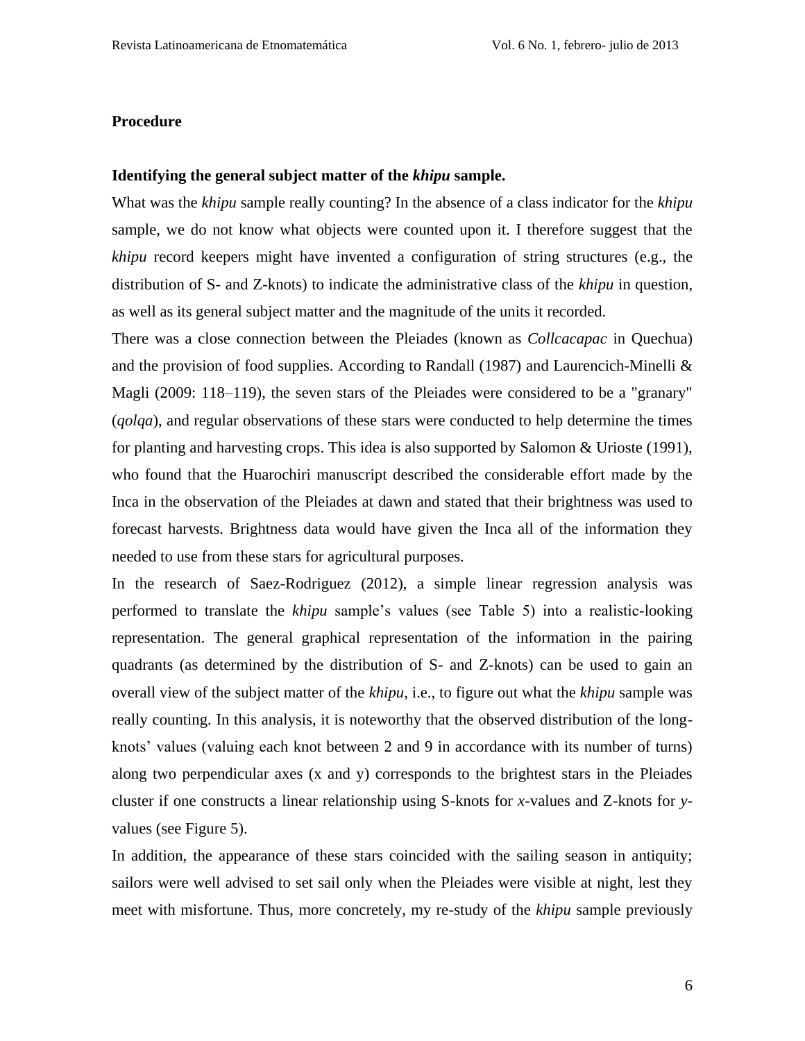#### **Procedure**

#### **Identifying the general subject matter of the** *khipu* **sample.**

What was the *khipu* sample really counting? In the absence of a class indicator for the *khipu* sample, we do not know what objects were counted upon it. I therefore suggest that the *khipu* record keepers might have invented a configuration of string structures (e.g., the distribution of S- and Z-knots) to indicate the administrative class of the *khipu* in question, as well as its general subject matter and the magnitude of the units it recorded.

There was a close connection between the Pleiades (known as *Collcacapac* in Quechua) and the provision of food supplies. According to Randall (1987) and Laurencich-Minelli  $\&$ Magli (2009: 118–119), the seven stars of the Pleiades were considered to be a "granary" (*qolqa*), and regular observations of these stars were conducted to help determine the times for planting and harvesting crops. This idea is also supported by Salomon & Urioste (1991), who found that the Huarochiri manuscript described the considerable effort made by the Inca in the observation of the Pleiades at dawn and stated that their brightness was used to forecast harvests. Brightness data would have given the Inca all of the information they needed to use from these stars for agricultural purposes.

In the research of Saez-Rodriguez (2012), a simple linear regression analysis was performed to translate the *khipu* sample's values (see Table 5) into a realistic-looking representation. The general graphical representation of the information in the pairing quadrants (as determined by the distribution of S- and Z-knots) can be used to gain an overall view of the subject matter of the *khipu*, i.e., to figure out what the *khipu* sample was really counting. In this analysis, it is noteworthy that the observed distribution of the longknots' values (valuing each knot between 2 and 9 in accordance with its number of turns) along two perpendicular axes (x and y) corresponds to the brightest stars in the Pleiades cluster if one constructs a linear relationship using S-knots for *x*-values and Z-knots for *y*values (see Figure 5).

In addition, the appearance of these stars coincided with the sailing season in antiquity; sailors were well advised to set sail only when the Pleiades were visible at night, lest they meet with misfortune. Thus, more concretely, my re-study of the *khipu* sample previously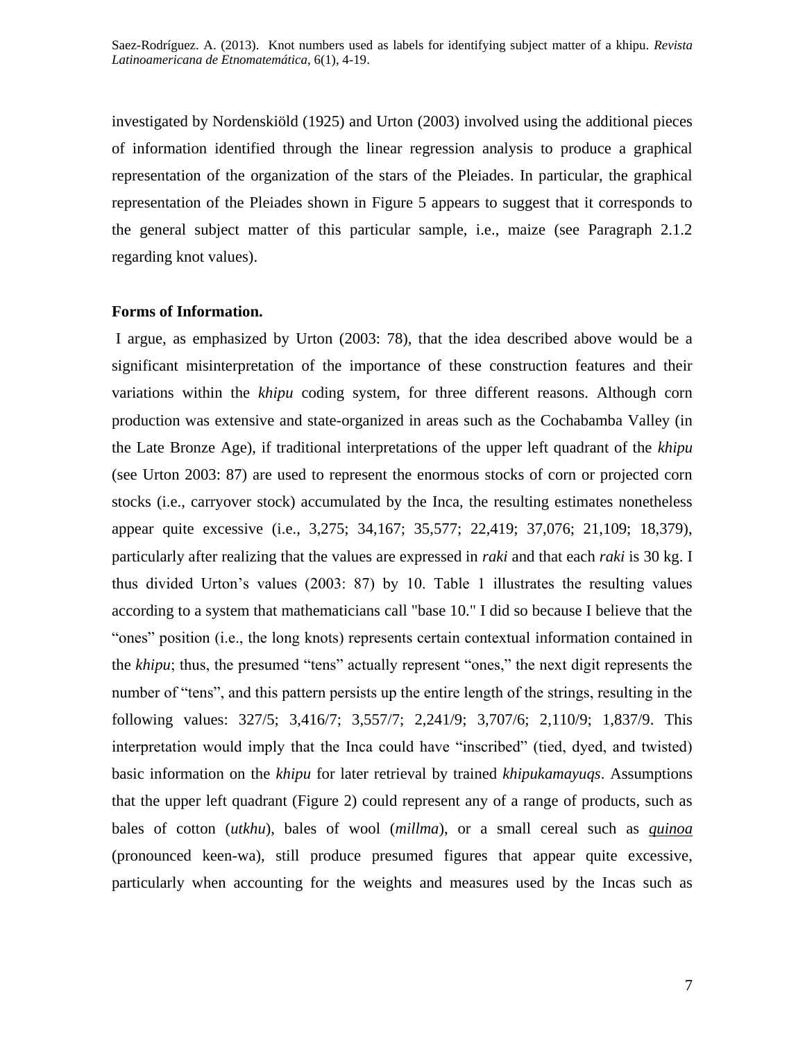investigated by Nordenskiöld (1925) and Urton (2003) involved using the additional pieces of information identified through the linear regression analysis to produce a graphical representation of the organization of the stars of the Pleiades. In particular, the graphical representation of the Pleiades shown in Figure 5 appears to suggest that it corresponds to the general subject matter of this particular sample, i.e., maize (see Paragraph 2.1.2 regarding knot values).

## **Forms of Information.**

I argue, as emphasized by Urton (2003: 78), that the idea described above would be a significant misinterpretation of the importance of these construction features and their variations within the *khipu* coding system, for three different reasons. Although corn production was extensive and state-organized in areas such as the Cochabamba Valley (in the Late Bronze Age), if traditional interpretations of the upper left quadrant of the *khipu* (see Urton 2003: 87) are used to represent the enormous stocks of corn or projected corn stocks (i.e., carryover stock) accumulated by the Inca, the resulting estimates nonetheless appear quite excessive (i.e., 3,275; 34,167; 35,577; 22,419; 37,076; 21,109; 18,379), particularly after realizing that the values are expressed in *raki* and that each *raki* is 30 kg. I thus divided Urton"s values (2003: 87) by 10. Table 1 illustrates the resulting values according to a system that mathematicians call "base 10." I did so because I believe that the "ones" position (i.e., the long knots) represents certain contextual information contained in the *khipu*; thus, the presumed "tens" actually represent "ones," the next digit represents the number of "tens", and this pattern persists up the entire length of the strings, resulting in the following values: 327/5; 3,416/7; 3,557/7; 2,241/9; 3,707/6; 2,110/9; 1,837/9. This interpretation would imply that the Inca could have "inscribed" (tied, dyed, and twisted) basic information on the *khipu* for later retrieval by trained *khipukamayuqs*. Assumptions that the upper left quadrant (Figure 2) could represent any of a range of products, such as bales of cotton (*utkhu*), bales of wool (*millma*), or a small cereal such as *quinoa* (pronounced keen-wa), still produce presumed figures that appear quite excessive, particularly when accounting for the weights and measures used by the Incas such as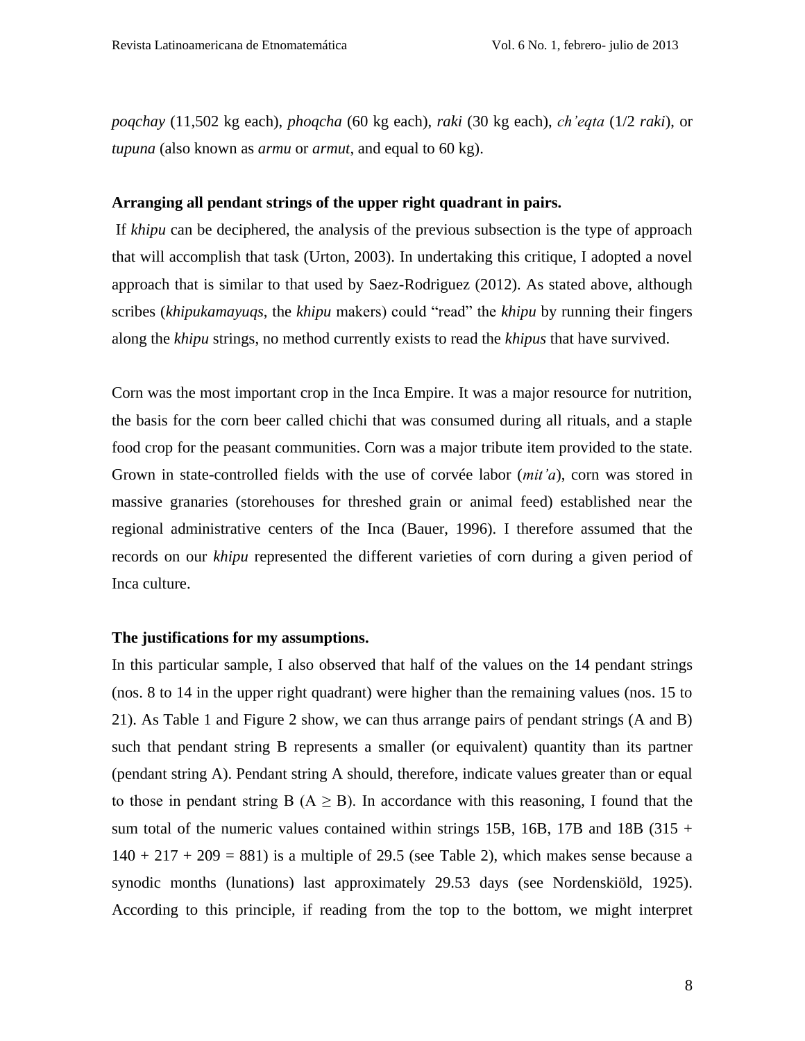*poqchay* (11,502 kg each), *phoqcha* (60 kg each), *raki* (30 kg each), *ch'eqta* (1/2 *raki*), or *tupuna* (also known as *armu* or *armut*, and equal to 60 kg).

#### **Arranging all pendant strings of the upper right quadrant in pairs.**

If *khipu* can be deciphered, the analysis of the previous subsection is the type of approach that will accomplish that task (Urton, 2003). In undertaking this critique, I adopted a novel approach that is similar to that used by Saez-Rodriguez (2012). As stated above, although scribes (*khipukamayuqs*, the *khipu* makers) could "read" the *khipu* by running their fingers along the *khipu* strings, no method currently exists to read the *khipus* that have survived.

Corn was the most important crop in the Inca Empire. It was a major resource for nutrition, the basis for the corn beer called chichi that was consumed during all rituals, and a staple food crop for the peasant communities. Corn was a major tribute item provided to the state. Grown in state-controlled fields with the use of corvée labor (*mit'a*), corn was stored in massive granaries (storehouses for threshed grain or animal feed) established near the regional administrative centers of the Inca (Bauer, 1996). I therefore assumed that the records on our *khipu* represented the different varieties of corn during a given period of Inca culture.

#### **The justifications for my assumptions.**

In this particular sample, I also observed that half of the values on the 14 pendant strings (nos. 8 to 14 in the upper right quadrant) were higher than the remaining values (nos. 15 to 21). As Table 1 and Figure 2 show, we can thus arrange pairs of pendant strings (A and B) such that pendant string B represents a smaller (or equivalent) quantity than its partner (pendant string A). Pendant string A should, therefore, indicate values greater than or equal to those in pendant string B ( $A \geq B$ ). In accordance with this reasoning, I found that the sum total of the numeric values contained within strings 15B, 16B, 17B and 18B (315 +  $140 + 217 + 209 = 881$ ) is a multiple of 29.5 (see Table 2), which makes sense because a synodic months (lunations) last approximately 29.53 days (see Nordenskiöld, 1925). According to this principle, if reading from the top to the bottom, we might interpret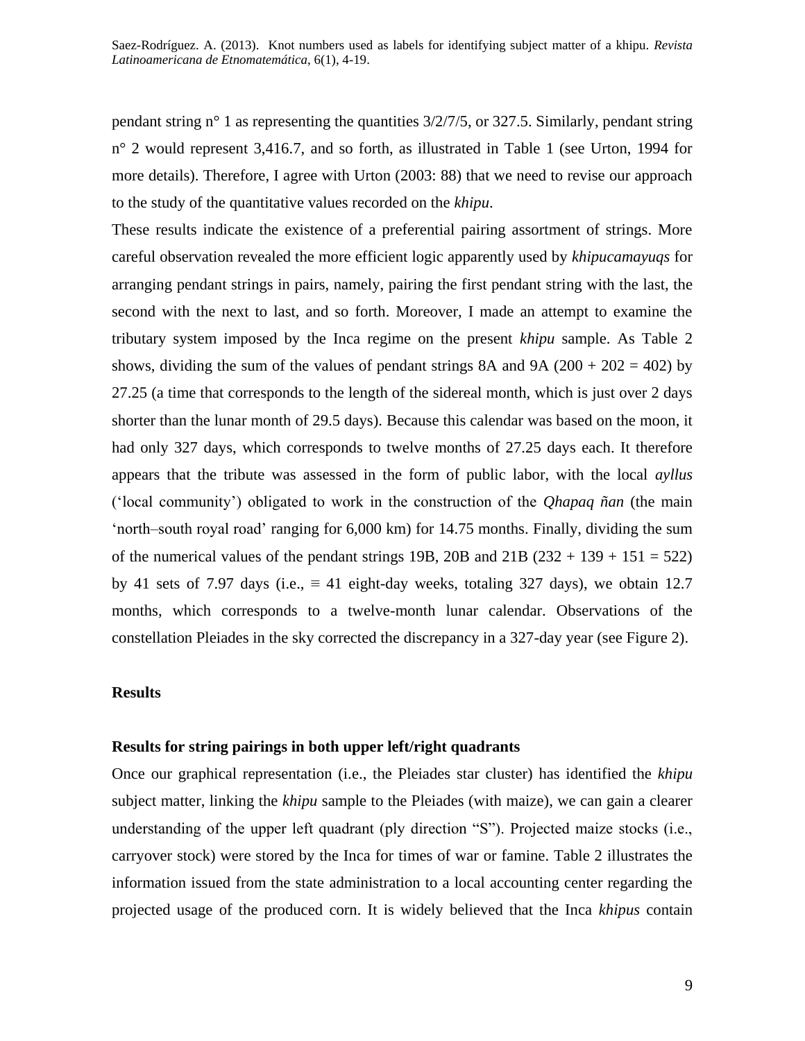pendant string  $n^{\circ}$  1 as representing the quantities  $3/2/7/5$ , or 327.5. Similarly, pendant string n° 2 would represent 3,416.7, and so forth, as illustrated in Table 1 (see Urton, 1994 for more details). Therefore, I agree with Urton (2003: 88) that we need to revise our approach to the study of the quantitative values recorded on the *khipu*.

These results indicate the existence of a preferential pairing assortment of strings. More careful observation revealed the more efficient logic apparently used by *khipucamayuqs* for arranging pendant strings in pairs, namely, pairing the first pendant string with the last, the second with the next to last, and so forth. Moreover, I made an attempt to examine the tributary system imposed by the Inca regime on the present *khipu* sample. As Table 2 shows, dividing the sum of the values of pendant strings 8A and 9A ( $200 + 202 = 402$ ) by 27.25 (a time that corresponds to the length of the sidereal month, which is just over 2 days shorter than the lunar month of 29.5 days). Because this calendar was based on the moon, it had only 327 days, which corresponds to twelve months of 27.25 days each. It therefore appears that the tribute was assessed in the form of public labor, with the local *ayllus* ("local community") obligated to work in the construction of the *Qhapaq ñan* (the main "north–south royal road" ranging for 6,000 km) for 14.75 months. Finally, dividing the sum of the numerical values of the pendant strings 19B, 20B and  $21B (232 + 139 + 151 = 522)$ by 41 sets of 7.97 days (i.e.,  $\equiv$  41 eight-day weeks, totaling 327 days), we obtain 12.7 months, which corresponds to a twelve-month lunar calendar. Observations of the constellation Pleiades in the sky corrected the discrepancy in a 327-day year (see Figure 2).

## **Results**

## **Results for string pairings in both upper left/right quadrants**

Once our graphical representation (i.e., the Pleiades star cluster) has identified the *khipu* subject matter, linking the *khipu* sample to the Pleiades (with maize), we can gain a clearer understanding of the upper left quadrant (ply direction "S"). Projected maize stocks (i.e., carryover stock) were stored by the Inca for times of war or famine. Table 2 illustrates the information issued from the state administration to a local accounting center regarding the projected usage of the produced corn. It is widely believed that the Inca *khipus* contain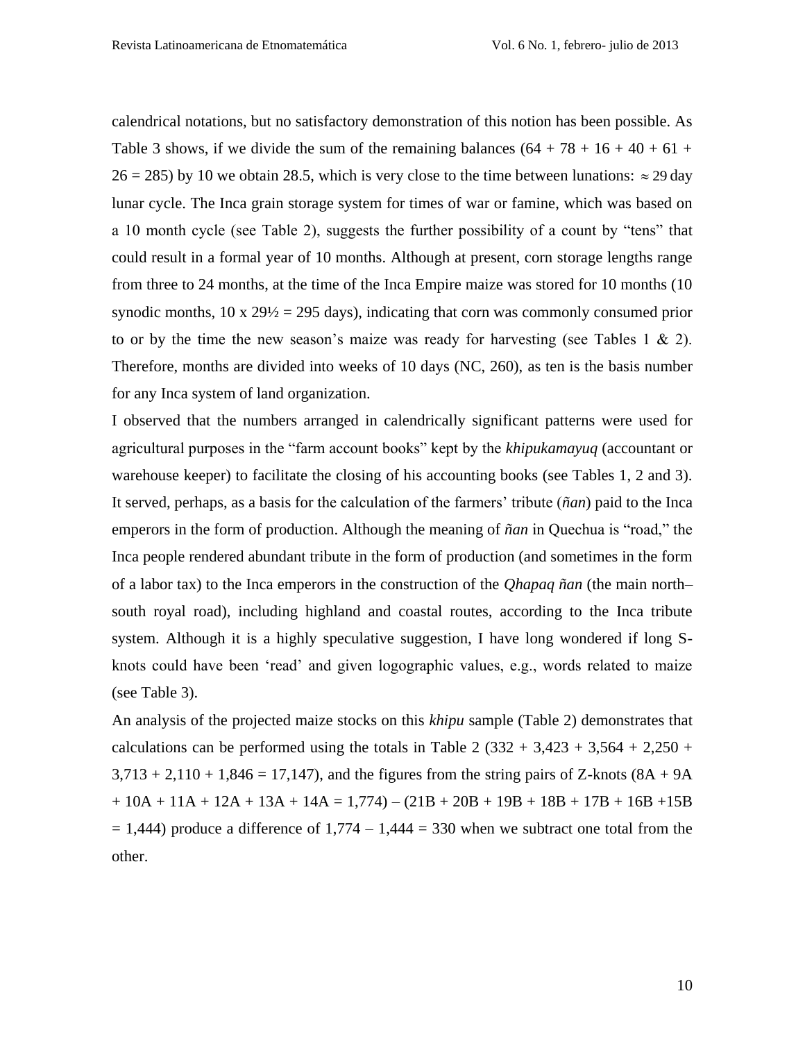calendrical notations, but no satisfactory demonstration of this notion has been possible. As Table 3 shows, if we divide the sum of the remaining balances  $(64 + 78 + 16 + 40 + 61 +$  $26 = 285$ ) by 10 we obtain 28.5, which is very close to the time between lunations:  $\approx 29 \text{ day}$ lunar cycle. The Inca grain storage system for times of war or famine, which was based on a 10 month cycle (see Table 2), suggests the further possibility of a count by "tens" that could result in a formal year of 10 months. Although at present, corn storage lengths range from three to 24 months, at the time of the Inca Empire maize was stored for 10 months (10 synodic months,  $10 \times 29/2 = 295$  days), indicating that corn was commonly consumed prior to or by the time the new season's maize was ready for harvesting (see Tables 1  $\&$  2). Therefore, months are divided into weeks of 10 days (NC, 260), as ten is the basis number for any Inca system of land organization.

I observed that the numbers arranged in calendrically significant patterns were used for agricultural purposes in the "farm account books" kept by the *khipukamayuq* (accountant or warehouse keeper) to facilitate the closing of his accounting books (see Tables 1, 2 and 3). It served, perhaps, as a basis for the calculation of the farmers" tribute (*ñan*) paid to the Inca emperors in the form of production. Although the meaning of *ñan* in Quechua is "road," the Inca people rendered abundant tribute in the form of production (and sometimes in the form of a labor tax) to the Inca emperors in the construction of the *Qhapaq ñan* (the main north– south royal road), including highland and coastal routes, according to the Inca tribute system. Although it is a highly speculative suggestion, I have long wondered if long Sknots could have been "read" and given logographic values, e.g., words related to maize (see Table 3).

An analysis of the projected maize stocks on this *khipu* sample (Table 2) demonstrates that calculations can be performed using the totals in Table 2  $(332 + 3,423 + 3,564 + 2,250 +$  $3,713 + 2,110 + 1,846 = 17,147$ , and the figures from the string pairs of Z-knots (8A + 9A)  $+ 10A + 11A + 12A + 13A + 14A = 1,774 - (21B + 20B + 19B + 18B + 17B + 16B + 15B$  $= 1,444$ ) produce a difference of  $1,774 - 1,444 = 330$  when we subtract one total from the other.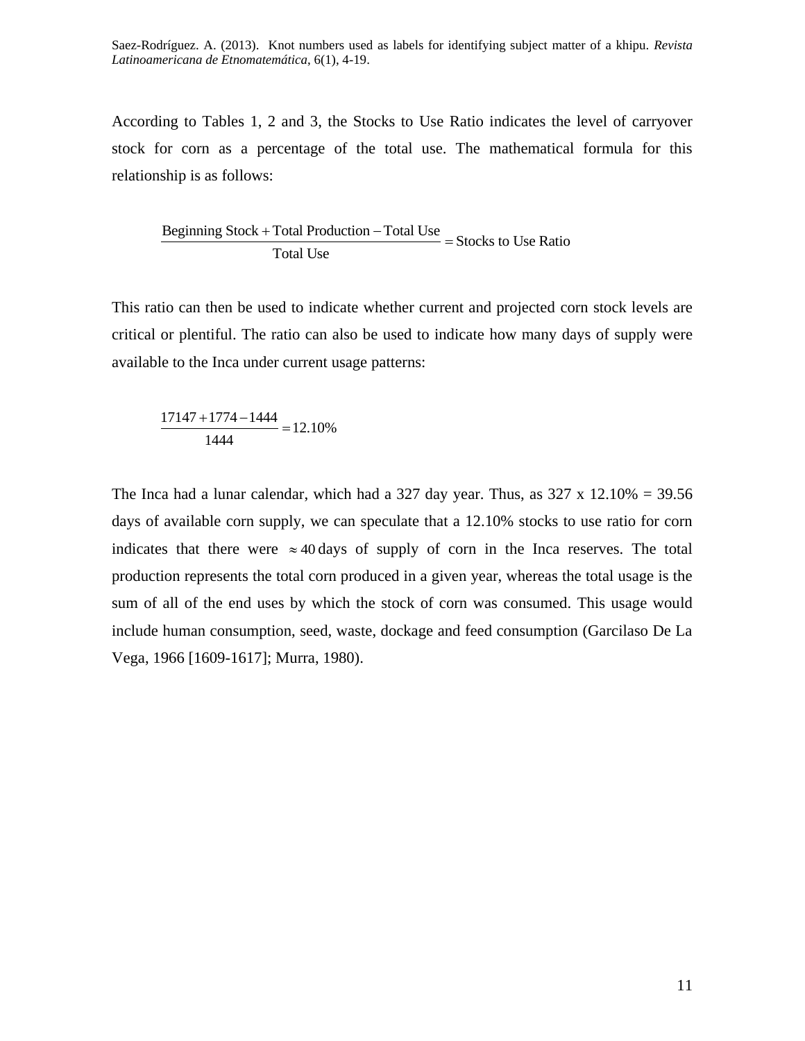According to Tables 1, 2 and 3, the Stocks to Use Ratio indicates the level of carryover stock for corn as a percentage of the total use. The mathematical formula for this relationship is as follows:

Beginning Stock + Total Production – Total Use<br>  $B$ eginning Stock + Total Production – Total Use = Stocks to Use Ratio Total Use

This ratio can then be used to indicate whether current and projected corn stock levels are critical or plentiful. The ratio can also be used to indicate how many days of supply were available to the Inca under current usage patterns:

$$
\frac{17147 + 1774 - 1444}{1444} = 12.10\%
$$

The Inca had a lunar calendar, which had a 327 day year. Thus, as  $327 \times 12.10\% = 39.56$ days of available corn supply, we can speculate that a 12.10% stocks to use ratio for corn indicates that there were  $\approx$  40 days of supply of corn in the Inca reserves. The total production represents the total corn produced in a given year, whereas the total usage is the sum of all of the end uses by which the stock of corn was consumed. This usage would include human consumption, seed, waste, dockage and feed consumption (Garcilaso De La Vega, 1966 [1609-1617]; Murra, 1980).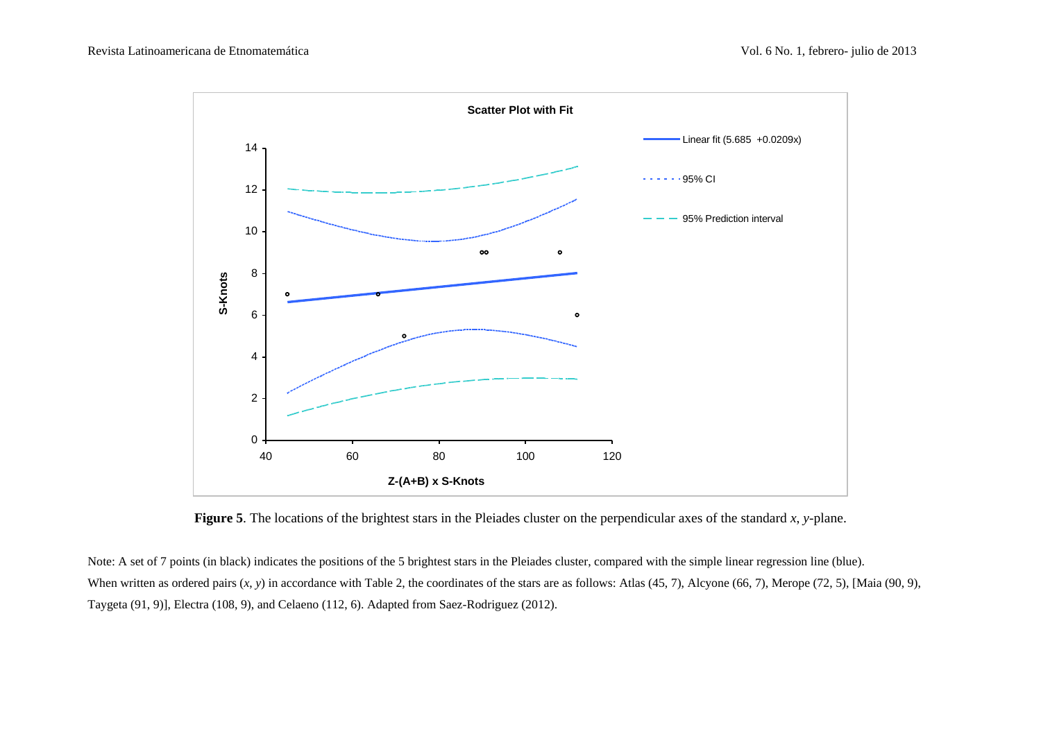

**Figure 5**. The locations of the brightest stars in the Pleiades cluster on the perpendicular axes of the standard *x*, *y*-plane.

Note: A set of 7 points (in black) indicates the positions of the 5 brightest stars in the Pleiades cluster, compared with the simple linear regression line (blue). When written as ordered pairs  $(x, y)$  in accordance with Table 2, the coordinates of the stars are as follows: Atlas (45, 7), Alcyone (66, 7), Merope (72, 5), [Maia (90, 9), Taygeta (91, 9)], Electra (108, 9), and Celaeno (112, 6). Adapted from Saez-Rodriguez (2012).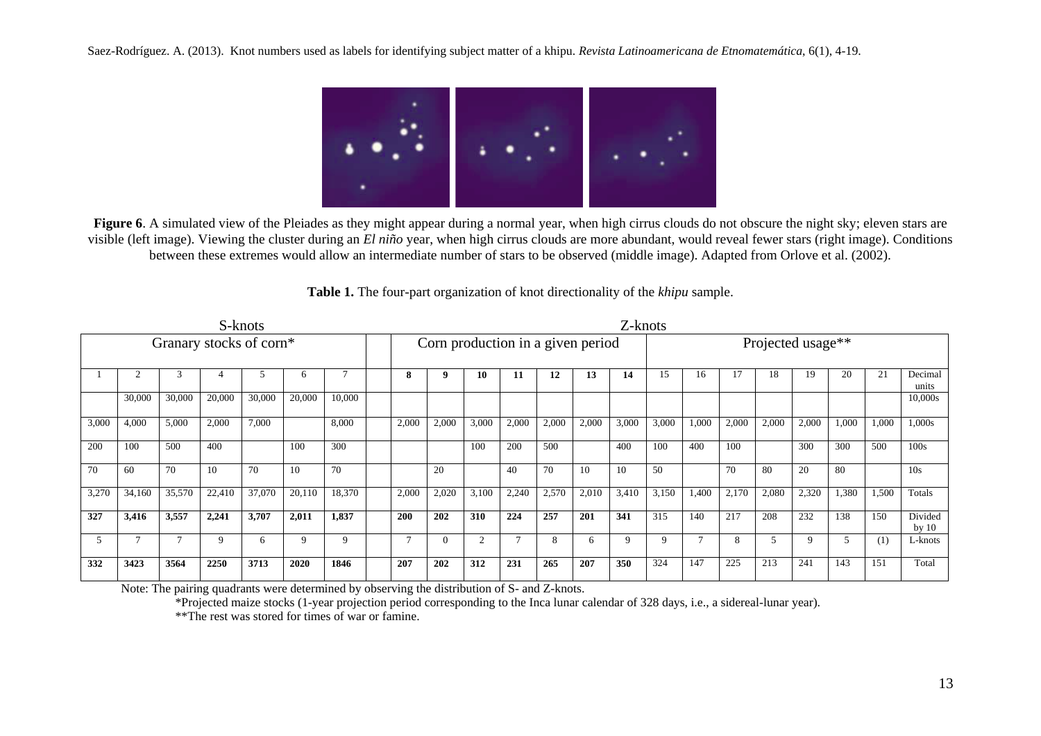

**Figure 6.** A simulated view of the Pleiades as they might appear during a normal year, when high cirrus clouds do not obscure the night sky; eleven stars are visible (left image). Viewing the cluster during an *El niño* year, when high cirrus clouds are more abundant, would reveal fewer stars (right image). Conditions between these extremes would allow an intermediate number of stars to be observed (middle image). Adapted from Orlove et al. (2002).

| S-knots                 |        |        |        |        |              |        | Z-knots |                                   |       |       |       |       |       |       |       |                   |       |       |       |       |       |                    |
|-------------------------|--------|--------|--------|--------|--------------|--------|---------|-----------------------------------|-------|-------|-------|-------|-------|-------|-------|-------------------|-------|-------|-------|-------|-------|--------------------|
| Granary stocks of corn* |        |        |        |        |              |        |         | Corn production in a given period |       |       |       |       |       |       |       | Projected usage** |       |       |       |       |       |                    |
|                         |        |        |        |        | <sub>6</sub> |        |         | 8                                 | - 9   | 10    | 11    | 12    | 13    | 14    | 15    | 16                | 17    | 18    | 19    | 20    | 21    | Decimal<br>units   |
|                         | 30,000 | 30,000 | 20,000 | 30,000 | 20,000       | 10,000 |         |                                   |       |       |       |       |       |       |       |                   |       |       |       |       |       | 10,000s            |
| 3,000                   | 4,000  | 5,000  | 2,000  | 7,000  |              | 8,000  |         | 2,000                             | 2,000 | 3,000 | 2,000 | 2,000 | 2,000 | 3,000 | 3,000 | 1,000             | 2,000 | 2,000 | 2,000 | 1,000 | 1,000 | 1,000s             |
| 200                     | 100    | 500    | 400    |        | 100          | 300    |         |                                   |       | 100   | 200   | 500   |       | 400   | 100   | 400               | 100   |       | 300   | 300   | 500   | 100s               |
| 70                      | 60     | 70     | 10     | 70     | 10           | 70     |         |                                   | 20    |       | 40    | 70    | 10    | 10    | 50    |                   | 70    | 80    | 20    | 80    |       | 10s                |
| 3,270                   | 34,160 | 35,570 | 22,410 | 37,070 | 20,110       | 18,370 |         | 2,000                             | 2,020 | 3,100 | 2,240 | 2,570 | 2,010 | 3,410 | 3,150 | 1,400             | 2,170 | 2,080 | 2,320 | 1,380 | 1,500 | Totals             |
| 327                     | 3,416  | 3,557  | 2,241  | 3,707  | 2,011        | 1,837  |         | <b>200</b>                        | 202   | 310   | 224   | 257   | 201   | 341   | 315   | 140               | 217   | 208   | 232   | 138   | 150   | Divided<br>by $10$ |
| $\mathfrak{F}$          |        |        |        |        |              |        |         |                                   |       |       |       | 8     | 6     |       | Q     |                   | 8     |       |       |       | (1)   | L-knots            |

**Table 1.** The four-part organization of knot directionality of the *khipu* sample.

Note: The pairing quadrants were determined by observing the distribution of S- and Z-knots.

\*Projected maize stocks (1-year projection period corresponding to the Inca lunar calendar of 328 days, i.e., a sidereal-lunar year).

**332 3423 3564 2250 3713 2020 1846 207 202 312 231 265 207 350** 324 147 225 213 241 143 151 Total

\*\*The rest was stored for times of war or famine.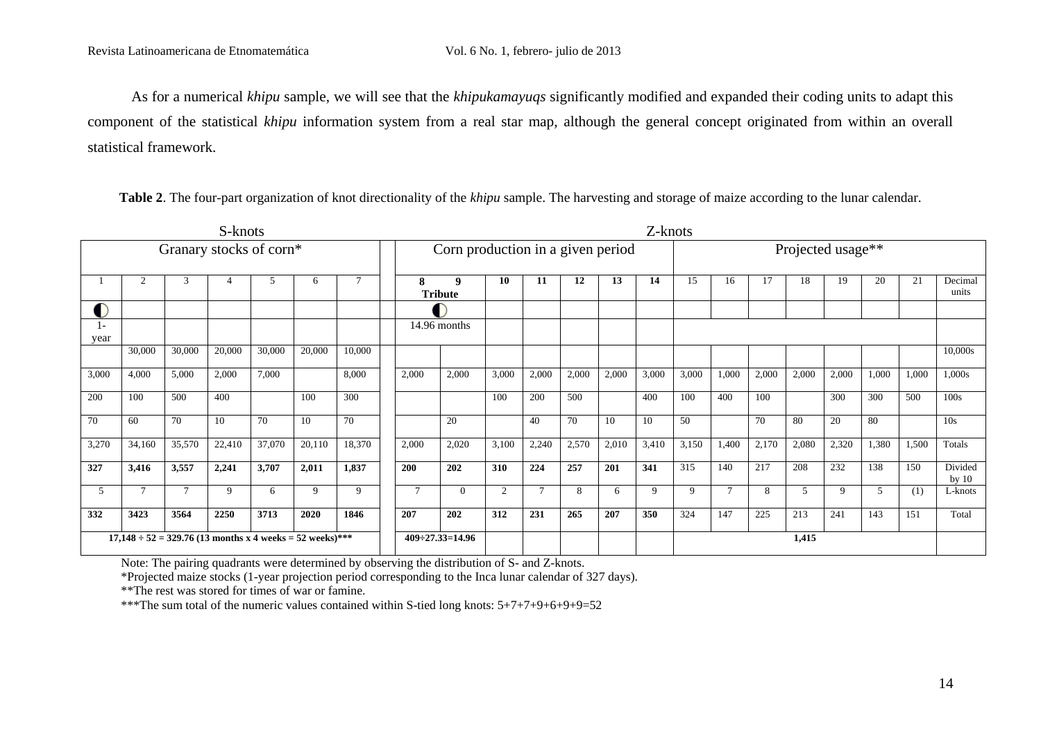As for a numerical *khipu* sample, we will see that the *khipukamayuqs* significantly modified and expanded their coding units to adapt this component of the statistical *khipu* information system from a real star map, although the general concept originated from within an overall statistical framework.

| S-knots                                                       |                |        |        |        |        |        |        | Z-knots                           |       |        |       |       |       |                   |        |       |       |             |       |       |                    |
|---------------------------------------------------------------|----------------|--------|--------|--------|--------|--------|--------|-----------------------------------|-------|--------|-------|-------|-------|-------------------|--------|-------|-------|-------------|-------|-------|--------------------|
| Granary stocks of corn*                                       |                |        |        |        |        |        |        | Corn production in a given period |       |        |       |       |       | Projected usage** |        |       |       |             |       |       |                    |
|                                                               | $\overline{c}$ | 3      | 4      | 5      | 6      |        | 8      | 9<br><b>Tribute</b>               | 10    | 11     | 12    | 13    | 14    | 15                | 16     | 17    | 18    | 19          | 20    | 21    | Decimal<br>units   |
|                                                               |                |        |        |        |        |        |        |                                   |       |        |       |       |       |                   |        |       |       |             |       |       |                    |
| year                                                          |                |        |        |        |        |        |        | 14.96 months                      |       |        |       |       |       |                   |        |       |       |             |       |       |                    |
|                                                               | 30,000         | 30,000 | 20,000 | 30,000 | 20,000 | 10,000 |        |                                   |       |        |       |       |       |                   |        |       |       |             |       |       | 10,000s            |
| 3,000                                                         | 4,000          | 5,000  | 2,000  | 7,000  |        | 8,000  | 2,000  | 2,000                             | 3,000 | 2,000  | 2,000 | 2,000 | 3,000 | 3,000             | 1,000  | 2,000 | 2,000 | 2,000       | 1,000 | 1,000 | 1,000s             |
| 200                                                           | 100            | 500    | 400    |        | 100    | 300    |        |                                   | 100   | 200    | 500   |       | 400   | 100               | 400    | 100   |       | 300         | 300   | 500   | 100s               |
| 70                                                            | 60             | 70     | 10     | 70     | 10     | 70     |        | 20                                |       | 40     | 70    | 10    | 10    | 50                |        | 70    | 80    | 20          | 80    |       | 10 <sub>s</sub>    |
| 3,270                                                         | 34,160         | 35,570 | 22,410 | 37,070 | 20,110 | 18,370 | 2,000  | 2,020                             | 3,100 | 2,240  | 2,570 | 2,010 | 3,410 | 3,150             | 1,400  | 2,170 | 2,080 | 2,320       | 1,380 | 1,500 | Totals             |
| 327                                                           | 3,416          | 3,557  | 2,241  | 3,707  | 2,011  | 1,837  | 200    | 202                               | 310   | 224    | 257   | 201   | 341   | 315               | 140    | 217   | 208   | 232         | 138   | 150   | Divided<br>by $10$ |
| 5                                                             | $\tau$         | $\tau$ | 9      | 6      | 9      | 9      | $\tau$ | $\Omega$                          | 2     | $\tau$ | 8     | 6     | 9     | 9                 | $\tau$ | 8     | 5     | $\mathbf Q$ | 5     | (1)   | L-knots            |
| 332                                                           | 3423           | 3564   | 2250   | 3713   | 2020   | 1846   | 207    | 202                               | 312   | 231    | 265   | 207   | 350   | 324               | 147    | 225   | 213   | 241         | 143   | 151   | Total              |
| $17,148 \div 52 = 329.76$ (13 months x 4 weeks = 52 weeks)*** |                |        |        |        |        |        |        | $409 - 27.33 = 14.96$             |       |        |       |       |       |                   |        |       | 1,415 |             |       |       |                    |

**Table 2**. The four-part organization of knot directionality of the *khipu* sample. The harvesting and storage of maize according to the lunar calendar.

Note: The pairing quadrants were determined by observing the distribution of S- and Z-knots.

\*Projected maize stocks (1-year projection period corresponding to the Inca lunar calendar of 327 days).

\*\*The rest was stored for times of war or famine.

\*\*\*The sum total of the numeric values contained within S-tied long knots: 5+7+7+9+6+9+9=52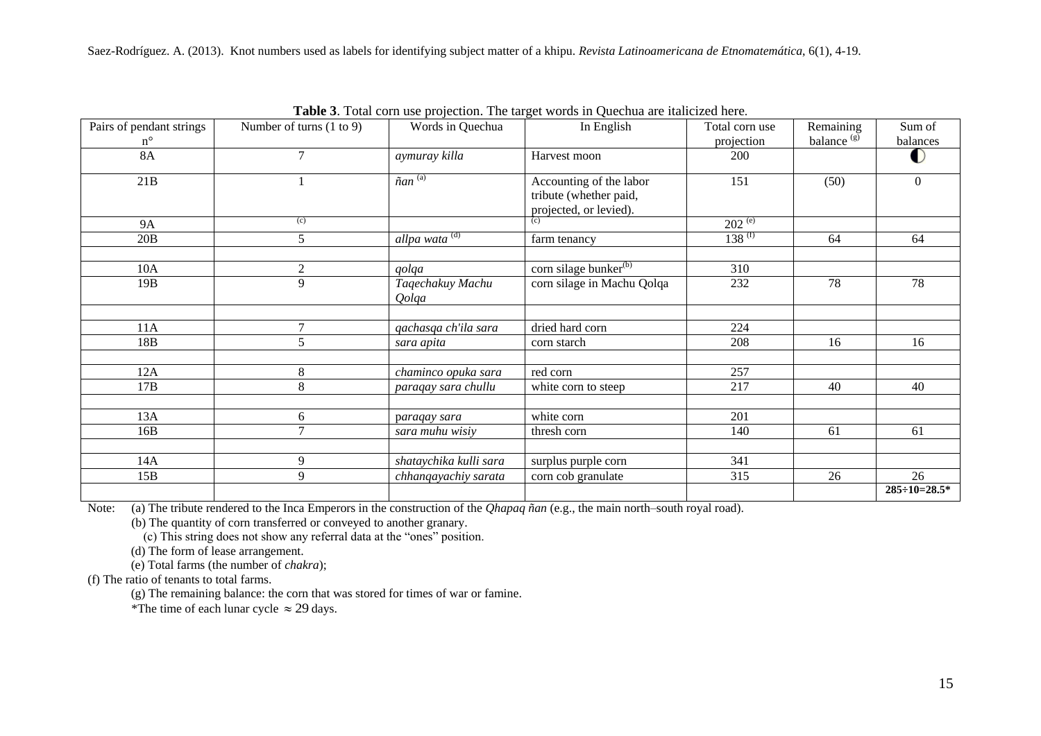| Pairs of pendant strings<br>$n^{\circ}$ | Number of turns $(1 to 9)$ | Words in Quechua              | In English                                                                  | Total corn use<br>projection | Remaining<br>balance $(g)$ | Sum of<br>balances     |  |
|-----------------------------------------|----------------------------|-------------------------------|-----------------------------------------------------------------------------|------------------------------|----------------------------|------------------------|--|
| <b>8A</b>                               | 7                          | aymuray killa                 | Harvest moon                                                                | 200                          |                            |                        |  |
| 21B                                     |                            | $\tilde{n}$ an <sup>(a)</sup> | Accounting of the labor<br>tribute (whether paid,<br>projected, or levied). | 151                          | (50)                       | $\overline{0}$         |  |
| <b>9A</b>                               | (c)                        |                               | (c)                                                                         | $202^{(e)}$                  |                            |                        |  |
| 20B                                     | 5                          | allpa wata <sup>(d)</sup>     | farm tenancy                                                                | $138^{(f)}$                  | 64                         | 64                     |  |
| 10A                                     | $\mathbf{2}$               | qolqa                         | corn silage bunker <sup>(b)</sup>                                           | 310                          |                            |                        |  |
| 19B                                     | 9                          | Taqechakuy Machu<br>Qolqa     | corn silage in Machu Qolqa                                                  | 232                          | 78                         | 78                     |  |
| 11A                                     | $\overline{7}$             | qachasqa ch'ila sara          | dried hard corn                                                             | 224                          |                            |                        |  |
| 18B                                     | 5                          | sara apita                    | corn starch                                                                 | 208                          | 16                         | 16                     |  |
| 12A                                     | 8                          | chaminco opuka sara           | red corn                                                                    | 257                          |                            |                        |  |
| 17B                                     | 8                          | paraqay sara chullu           | white corn to steep                                                         | 217                          | 40                         | 40                     |  |
| 13A                                     | 6                          | paraqay sara                  | white corn                                                                  | 201                          |                            |                        |  |
| 16B                                     | $\tau$                     | sara muhu wisiy               | thresh corn                                                                 | 140                          | 61                         | 61                     |  |
|                                         |                            |                               |                                                                             |                              |                            |                        |  |
| 14A                                     | 9                          | shataychika kulli sara        | surplus purple corn                                                         | 341                          |                            |                        |  |
| 15B                                     | 9                          | chhanqayachiy sarata          | corn cob granulate                                                          | 315                          | 26                         | 26                     |  |
|                                         |                            |                               |                                                                             |                              |                            | $285 \div 10 = 28.5^*$ |  |

**Table 3**. Total corn use projection. The target words in Quechua are italicized here.

Note: (a) The tribute rendered to the Inca Emperors in the construction of the *Qhapaq ñan* (e.g., the main north–south royal road).

(b) The quantity of corn transferred or conveyed to another granary.

(c) This string does not show any referral data at the "ones" position.

(d) The form of lease arrangement.

(e) Total farms (the number of *chakra*);

(f) The ratio of tenants to total farms.

(g) The remaining balance: the corn that was stored for times of war or famine.

\*The time of each lunar cycle  $\approx 29$  days.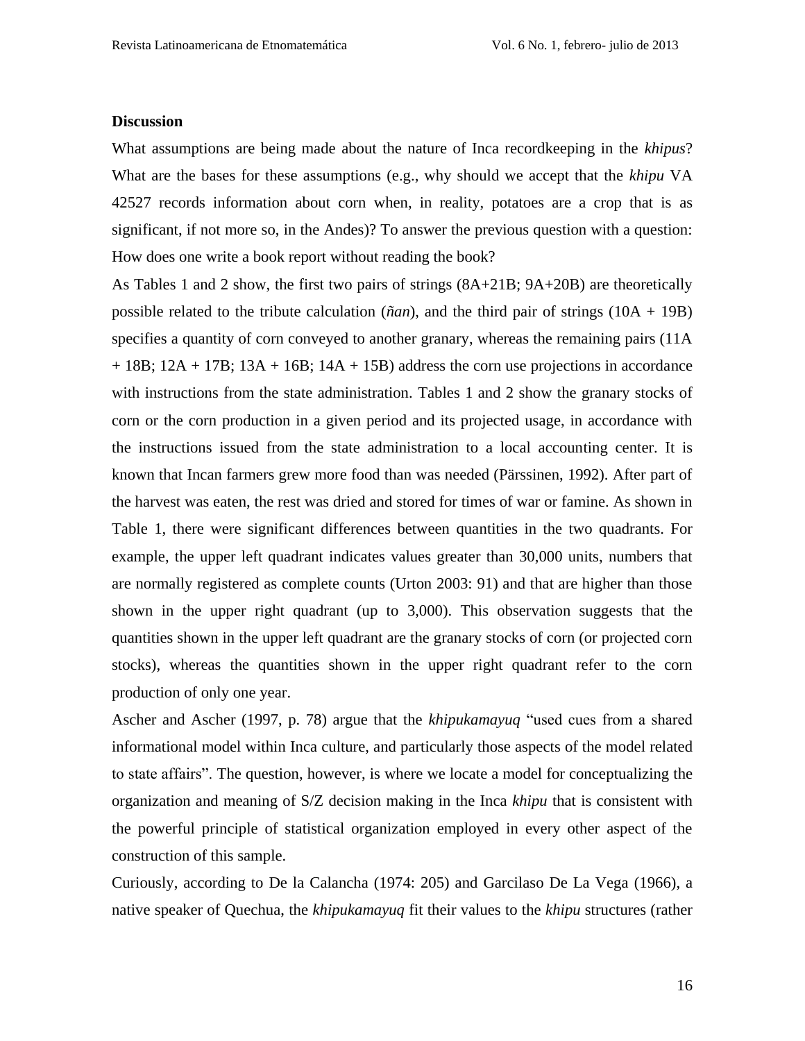#### **Discussion**

What assumptions are being made about the nature of Inca recordkeeping in the *khipus*? What are the bases for these assumptions (e.g., why should we accept that the *khipu* VA 42527 records information about corn when, in reality, potatoes are a crop that is as significant, if not more so, in the Andes)? To answer the previous question with a question: How does one write a book report without reading the book?

As Tables 1 and 2 show, the first two pairs of strings (8A+21B; 9A+20B) are theoretically possible related to the tribute calculation ( $\tilde{n}an$ ), and the third pair of strings ( $10A + 19B$ ) specifies a quantity of corn conveyed to another granary, whereas the remaining pairs (11A  $+ 18B$ ;  $12A + 17B$ ;  $13A + 16B$ ;  $14A + 15B$ ) address the corn use projections in accordance with instructions from the state administration. Tables 1 and 2 show the granary stocks of corn or the corn production in a given period and its projected usage, in accordance with the instructions issued from the state administration to a local accounting center. It is known that Incan farmers grew more food than was needed (Pärssinen, 1992). After part of the harvest was eaten, the rest was dried and stored for times of war or famine. As shown in Table 1, there were significant differences between quantities in the two quadrants. For example, the upper left quadrant indicates values greater than 30,000 units, numbers that are normally registered as complete counts (Urton 2003: 91) and that are higher than those shown in the upper right quadrant (up to 3,000). This observation suggests that the quantities shown in the upper left quadrant are the granary stocks of corn (or projected corn stocks), whereas the quantities shown in the upper right quadrant refer to the corn production of only one year.

Ascher and Ascher (1997, p. 78) argue that the *khipukamayuq* "used cues from a shared informational model within Inca culture, and particularly those aspects of the model related to state affairs". The question, however, is where we locate a model for conceptualizing the organization and meaning of S/Z decision making in the Inca *khipu* that is consistent with the powerful principle of statistical organization employed in every other aspect of the construction of this sample.

Curiously, according to De la Calancha (1974: 205) and Garcilaso De La Vega (1966), a native speaker of Quechua, the *khipukamayuq* fit their values to the *khipu* structures (rather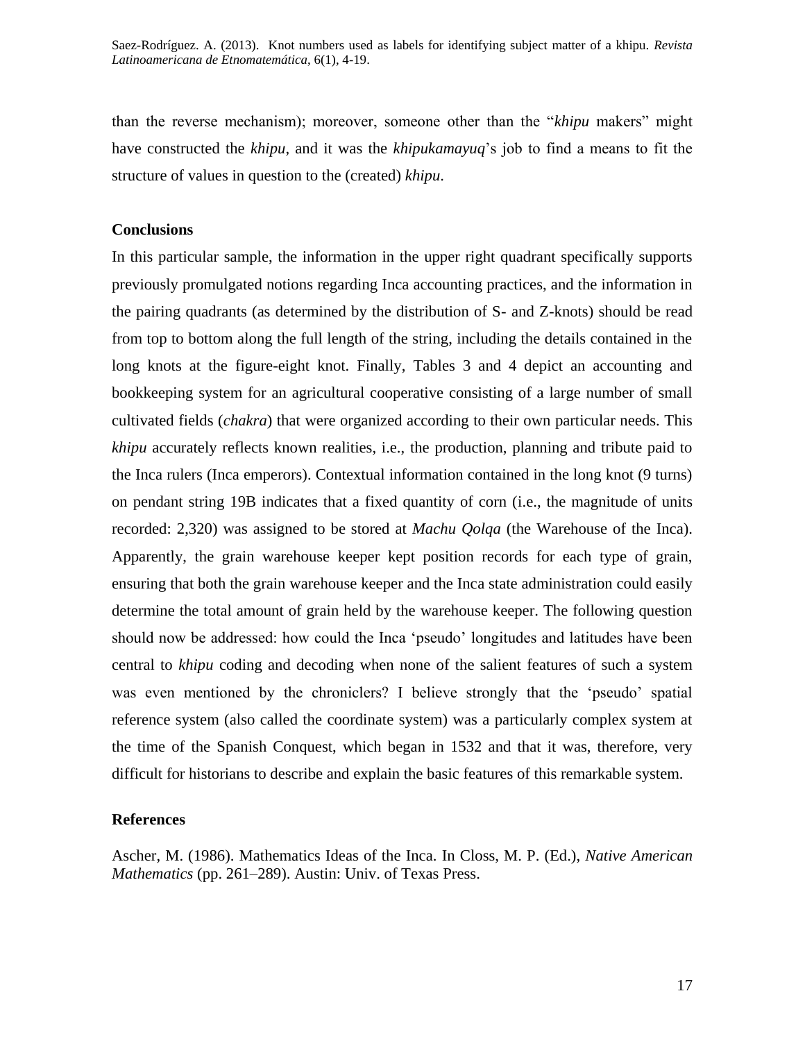than the reverse mechanism); moreover, someone other than the "*khipu* makers" might have constructed the *khipu*, and it was the *khipukamayuq*"s job to find a means to fit the structure of values in question to the (created) *khipu*.

#### **Conclusions**

In this particular sample, the information in the upper right quadrant specifically supports previously promulgated notions regarding Inca accounting practices, and the information in the pairing quadrants (as determined by the distribution of S- and Z-knots) should be read from top to bottom along the full length of the string, including the details contained in the long knots at the figure-eight knot. Finally, Tables 3 and 4 depict an accounting and bookkeeping system for an agricultural cooperative consisting of a large number of small cultivated fields (*chakra*) that were organized according to their own particular needs. This *khipu* accurately reflects known realities, i.e., the production, planning and tribute paid to the Inca rulers (Inca emperors). Contextual information contained in the long knot (9 turns) on pendant string 19B indicates that a fixed quantity of corn (i.e., the magnitude of units recorded: 2,320) was assigned to be stored at *Machu Qolqa* (the Warehouse of the Inca). Apparently, the grain warehouse keeper kept position records for each type of grain, ensuring that both the grain warehouse keeper and the Inca state administration could easily determine the total amount of grain held by the warehouse keeper. The following question should now be addressed: how could the Inca "pseudo" longitudes and latitudes have been central to *khipu* coding and decoding when none of the salient features of such a system was even mentioned by the chroniclers? I believe strongly that the 'pseudo' spatial reference system (also called the coordinate system) was a particularly complex system at the time of the Spanish Conquest, which began in 1532 and that it was, therefore, very difficult for historians to describe and explain the basic features of this remarkable system.

#### **References**

Ascher, M. (1986). Mathematics Ideas of the Inca. In Closs, M. P. (Ed.), *Native American Mathematics* (pp. 261–289). Austin: Univ. of Texas Press.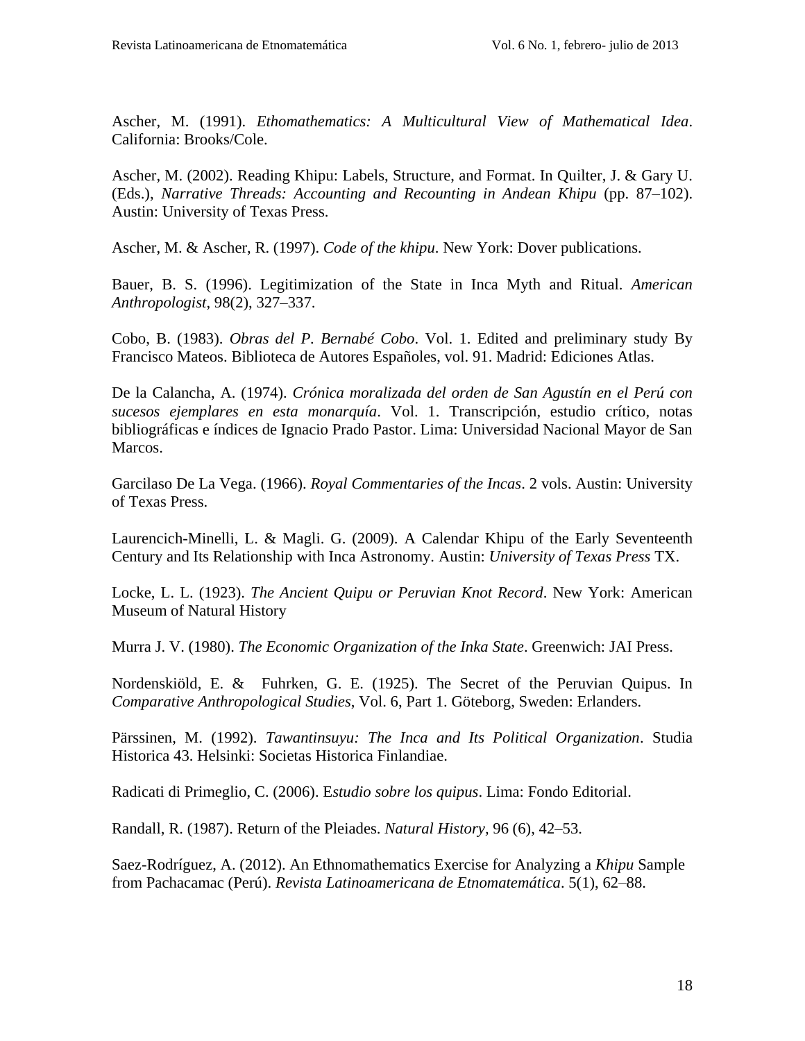Ascher, M. (1991). *Ethomathematics: A Multicultural View of Mathematical Idea*. California: Brooks/Cole.

Ascher, M. (2002). Reading Khipu: Labels, Structure, and Format. In Quilter, J. & Gary U. (Eds.), *Narrative Threads: Accounting and Recounting in Andean Khipu* (pp. 87–102). Austin: University of Texas Press.

Ascher, M. & Ascher, R. (1997). *Code of the khipu*. New York: Dover publications.

Bauer, B. S. (1996). Legitimization of the State in Inca Myth and Ritual. *American Anthropologist*, 98(2), 327–337.

Cobo, B. (1983). *Obras del P. Bernabé Cobo*. Vol. 1. Edited and preliminary study By Francisco Mateos. Biblioteca de Autores Españoles, vol. 91. Madrid: Ediciones Atlas.

De la Calancha, A. (1974). *Crónica moralizada del orden de San Agustín en el Perú con sucesos ejemplares en esta monarquía*. Vol. 1. Transcripción, estudio crítico, notas bibliográficas e índices de Ignacio Prado Pastor. Lima: Universidad Nacional Mayor de San Marcos.

Garcilaso De La Vega. (1966). *Royal Commentaries of the Incas*. 2 vols. Austin: University of Texas Press.

Laurencich-Minelli, L. & Magli. G. (2009). A Calendar Khipu of the Early Seventeenth Century and Its Relationship with Inca Astronomy. Austin: *University of Texas Press* TX.

Locke, L. L. (1923). *The Ancient Quipu or Peruvian Knot Record*. New York: American Museum of Natural History

Murra J. V. (1980). *The Economic Organization of the Inka State*. Greenwich: JAI Press.

Nordenskiöld, E. & [Fuhrken,](http://www.worldcat.org/search?q=au%3AFuhrken%2C+George+Ernest%2C&qt=hot_author) G. E. (1925). The Secret of the Peruvian Quipus. In *Comparative Anthropological Studies*, Vol. 6, Part 1. Göteborg, Sweden: Erlanders.

Pärssinen, M. (1992). *Tawantinsuyu: The Inca and Its Political Organization*. Studia Historica 43. Helsinki: Societas Historica Finlandiae.

Radicati di Primeglio, C. (2006). E*studio sobre los quipus*. Lima: Fondo Editorial.

Randall, R. (1987). Return of the Pleiades. *Natural History,* 96 (6), 42–53.

Saez-Rodríguez, A. (2012). An Ethnomathematics Exercise for Analyzing a *Khipu* Sample from Pachacamac (Perú). *Revista Latinoamericana de Etnomatemática*. 5(1), 62–88.